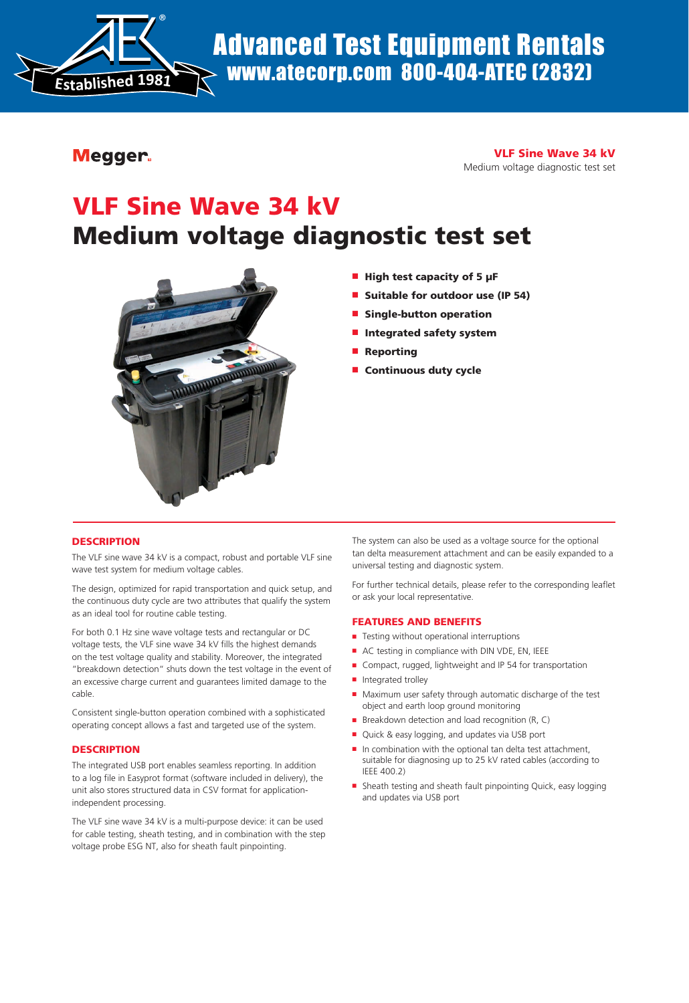® **Established <sup>1</sup>981**

## Megger.

VLF Sine Wave 34 kV Medium voltage diagnostic test set

# VLF Sine Wave 34 kV Medium voltage diagnostic test set



- High test capacity of 5 µF
- Suitable for outdoor use (IP 54)
- **Single-button operation**
- Integrated safety system
- Reporting
- Continuous duty cycle

#### **DESCRIPTION**

The VLF sine wave 34 kV is a compact, robust and portable VLF sine wave test system for medium voltage cables.

The design, optimized for rapid transportation and quick setup, and the continuous duty cycle are two attributes that qualify the system as an ideal tool for routine cable testing.

For both 0.1 Hz sine wave voltage tests and rectangular or DC voltage tests, the VLF sine wave 34 kV fills the highest demands on the test voltage quality and stability. Moreover, the integrated "breakdown detection" shuts down the test voltage in the event of an excessive charge current and guarantees limited damage to the cable.

Consistent single-button operation combined with a sophisticated operating concept allows a fast and targeted use of the system.

#### **DESCRIPTION**

The integrated USB port enables seamless reporting. In addition to a log file in Easyprot format (software included in delivery), the unit also stores structured data in CSV format for applicationindependent processing.

The VLF sine wave 34 kV is a multi-purpose device: it can be used for cable testing, sheath testing, and in combination with the step voltage probe ESG NT, also for sheath fault pinpointing.

The system can also be used as a voltage source for the optional tan delta measurement attachment and can be easily expanded to a universal testing and diagnostic system.

For further technical details, please refer to the corresponding leaflet or ask your local representative.

#### Features and Benefits

- Testing without operational interruptions
- AC testing in compliance with DIN VDE, EN, IEEE
- Compact, rugged, lightweight and IP 54 for transportation
- Integrated trolley
- Maximum user safety through automatic discharge of the test object and earth loop ground monitoring
- Breakdown detection and load recognition (R, C)
- Quick & easy logging, and updates via USB port
- In combination with the optional tan delta test attachment, suitable for diagnosing up to 25 kV rated cables (according to IEEE 400.2)
- Sheath testing and sheath fault pinpointing Quick, easy logging and updates via USB port